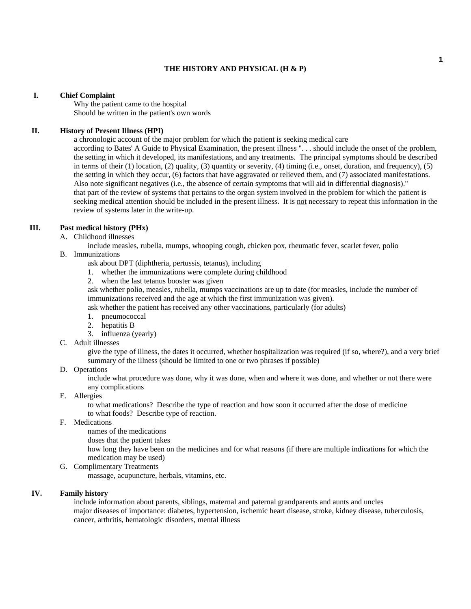#### **THE HISTORY AND PHYSICAL (H & P)**

#### **I. Chief Complaint**

 Why the patient came to the hospital Should be written in the patient's own words

## **II. History of Present Illness (HPI)**

 a chronologic account of the major problem for which the patient is seeking medical care according to Bates' A Guide to Physical Examination, the present illness ". . . should include the onset of the problem, the setting in which it developed, its manifestations, and any treatments. The principal symptoms should be described in terms of their (1) location, (2) quality, (3) quantity or severity, (4) timing (i.e., onset, duration, and frequency), (5) the setting in which they occur, (6) factors that have aggravated or relieved them, and (7) associated manifestations. Also note significant negatives (i.e., the absence of certain symptoms that will aid in differential diagnosis)." that part of the review of systems that pertains to the organ system involved in the problem for which the patient is seeking medical attention should be included in the present illness. It is not necessary to repeat this information in the review of systems later in the write-up.

## **III. Past medical history (PHx)**

A. Childhood illnesses

include measles, rubella, mumps, whooping cough, chicken pox, rheumatic fever, scarlet fever, polio

- B. Immunizations
	- ask about DPT (diphtheria, pertussis, tetanus), including
	- 1. whether the immunizations were complete during childhood
	- 2. when the last tetanus booster was given

 ask whether polio, measles, rubella, mumps vaccinations are up to date (for measles, include the number of immunizations received and the age at which the first immunization was given).

ask whether the patient has received any other vaccinations, particularly (for adults)

- 1. pneumococcal
- 2. hepatitis B
- 3. influenza (yearly)
- C. Adult illnesses

 give the type of illness, the dates it occurred, whether hospitalization was required (if so, where?), and a very brief summary of the illness (should be limited to one or two phrases if possible)

#### D. Operations

 include what procedure was done, why it was done, when and where it was done, and whether or not there were any complications

E. Allergies

 to what medications? Describe the type of reaction and how soon it occurred after the dose of medicine to what foods? Describe type of reaction.

F. Medications

names of the medications

doses that the patient takes

 how long they have been on the medicines and for what reasons (if there are multiple indications for which the medication may be used)

G. Complimentary Treatments

massage, acupuncture, herbals, vitamins, etc.

## **IV. Family history**

 include information about parents, siblings, maternal and paternal grandparents and aunts and uncles major diseases of importance: diabetes, hypertension, ischemic heart disease, stroke, kidney disease, tuberculosis, cancer, arthritis, hematologic disorders, mental illness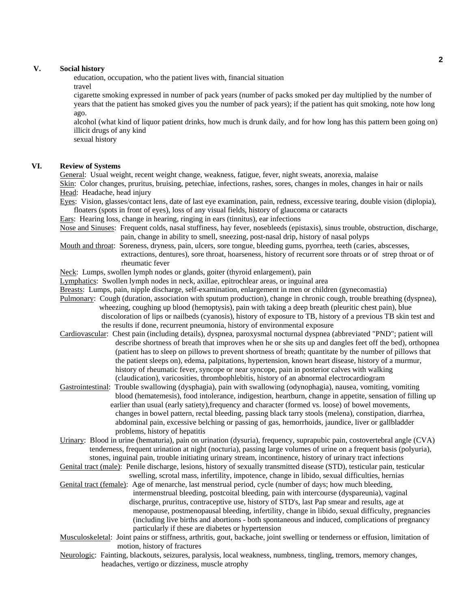#### **V. Social history**

 education, occupation, who the patient lives with, financial situation travel

 cigarette smoking expressed in number of pack years (number of packs smoked per day multiplied by the number of years that the patient has smoked gives you the number of pack years); if the patient has quit smoking, note how long ago.

 alcohol (what kind of liquor patient drinks, how much is drunk daily, and for how long has this pattern been going on) illicit drugs of any kind

sexual history

# **VI. Review of Systems**

General: Usual weight, recent weight change, weakness, fatigue, fever, night sweats, anorexia, malaise

 Skin: Color changes, pruritus, bruising, petechiae, infections, rashes, sores, changes in moles, changes in hair or nails Head: Headache, head injury

Eyes: Vision, glasses/contact lens, date of last eye examination, pain, redness, excessive tearing, double vision (diplopia), floaters (spots in front of eyes), loss of any visual fields, history of glaucoma or cataracts

Ears: Hearing loss, change in hearing, ringing in ears (tinnitus), ear infections

Nose and Sinuses: Frequent colds, nasal stuffiness, hay fever, nosebleeds (epistaxis), sinus trouble, obstruction, discharge, pain, change in ability to smell, sneezing, post-nasal drip, history of nasal polyps

 Mouth and throat: Soreness, dryness, pain, ulcers, sore tongue, bleeding gums, pyorrhea, teeth (caries, abscesses, extractions, dentures), sore throat, hoarseness, history of recurrent sore throats or of strep throat or of rheumatic fever

Neck: Lumps, swollen lymph nodes or glands, goiter (thyroid enlargement), pain

Lymphatics: Swollen lymph nodes in neck, axillae, epitrochlear areas, or inguinal area

Breasts: Lumps, pain, nipple discharge, self-examination, enlargement in men or children (gynecomastia)

- Pulmonary: Cough (duration, association with sputum production), change in chronic cough, trouble breathing (dyspnea), wheezing, coughing up blood (hemoptysis), pain with taking a deep breath (pleuritic chest pain), blue discoloration of lips or nailbeds (cyanosis), history of exposure to TB, history of a previous TB skin test and the results if done, recurrent pneumonia, history of environmental exposure
- Cardiovascular: Chest pain (including details), dyspnea, paroxysmal nocturnal dyspnea (abbreviated "PND"; patient will describe shortness of breath that improves when he or she sits up and dangles feet off the bed), orthopnea (patient has to sleep on pillows to prevent shortness of breath; quantitate by the number of pillows that the patient sleeps on), edema, palpitations, hypertension, known heart disease, history of a murmur, history of rheumatic fever, syncope or near syncope, pain in posterior calves with walking (claudication), varicosities, thrombophlebitis, history of an abnormal electrocardiogram
- Gastrointestinal: Trouble swallowing (dysphagia), pain with swallowing (odynophagia), nausea, vomiting, vomiting blood (hematemesis), food intolerance, indigestion, heartburn, change in appetite, sensation of filling up earlier than usual (early satiety),frequency and character (formed vs. loose) of bowel movements, changes in bowel pattern, rectal bleeding, passing black tarry stools (melena), constipation, diarrhea, abdominal pain, excessive belching or passing of gas, hemorrhoids, jaundice, liver or gallbladder problems, history of hepatitis

 Urinary: Blood in urine (hematuria), pain on urination (dysuria), frequency, suprapubic pain, costovertebral angle (CVA) tenderness, frequent urination at night (nocturia), passing large volumes of urine on a frequent basis (polyuria), stones, inguinal pain, trouble initiating urinary stream, incontinence, history of urinary tract infections

 Genital tract (male): Penile discharge, lesions, history of sexually transmitted disease (STD), testicular pain, testicular swelling, scrotal mass, infertility, impotence, change in libido, sexual difficulties, hernias

- Genital tract (female): Age of menarche, last menstrual period, cycle (number of days; how much bleeding, intermenstrual bleeding, postcoital bleeding, pain with intercourse (dyspareunia), vaginal discharge, pruritus, contraceptive use, history of STD's, last Pap smear and results, age at menopause, postmenopausal bleeding, infertility, change in libido, sexual difficulty, pregnancies (including live births and abortions - both spontaneous and induced, complications of pregnancy particularly if these are diabetes or hypertension
- Musculoskeletal: Joint pains or stiffness, arthritis, gout, backache, joint swelling or tenderness or effusion, limitation of motion, history of fractures
- Neurologic: Fainting, blackouts, seizures, paralysis, local weakness, numbness, tingling, tremors, memory changes, headaches, vertigo or dizziness, muscle atrophy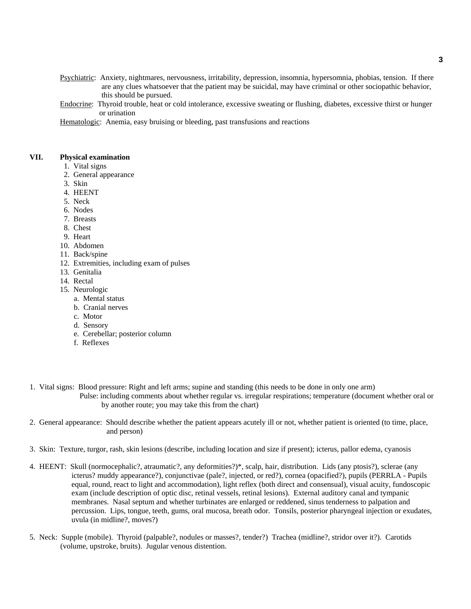- Psychiatric: Anxiety, nightmares, nervousness, irritability, depression, insomnia, hypersomnia, phobias, tension. If there are any clues whatsoever that the patient may be suicidal, may have criminal or other sociopathic behavior, this should be pursued.
- Endocrine: Thyroid trouble, heat or cold intolerance, excessive sweating or flushing, diabetes, excessive thirst or hunger or urination

Hematologic: Anemia, easy bruising or bleeding, past transfusions and reactions

#### **VII. Physical examination**

- 1. Vital signs
- 2. General appearance
- 3. Skin
- 4. HEENT
- 5. Neck
- 6. Nodes
- 7. Breasts
- 8. Chest
- 9. Heart
- 10. Abdomen
- 11. Back/spine
- 12. Extremities, including exam of pulses
- 13. Genitalia
- 14. Rectal
- 15. Neurologic
	- a. Mental status
	- b. Cranial nerves
	- c. Motor
	- d. Sensory
	- e. Cerebellar; posterior column
	- f. Reflexes
- 1. Vital signs: Blood pressure: Right and left arms; supine and standing (this needs to be done in only one arm) Pulse: including comments about whether regular vs. irregular respirations; temperature (document whether oral or by another route; you may take this from the chart)
- 2. General appearance: Should describe whether the patient appears acutely ill or not, whether patient is oriented (to time, place, and person)
- 3. Skin: Texture, turgor, rash, skin lesions (describe, including location and size if present); icterus, pallor edema, cyanosis
- 4. HEENT: Skull (normocephalic?, atraumatic?, any deformities?)\*, scalp, hair, distribution. Lids (any ptosis?), sclerae (any icterus? muddy appearance?), conjunctivae (pale?, injected, or red?), cornea (opacified?), pupils (PERRLA - Pupils equal, round, react to light and accommodation), light reflex (both direct and consensual), visual acuity, fundoscopic exam (include description of optic disc, retinal vessels, retinal lesions). External auditory canal and tympanic membranes. Nasal septum and whether turbinates are enlarged or reddened, sinus tenderness to palpation and percussion. Lips, tongue, teeth, gums, oral mucosa, breath odor. Tonsils, posterior pharyngeal injection or exudates, uvula (in midline?, moves?)
- 5. Neck: Supple (mobile). Thyroid (palpable?, nodules or masses?, tender?) Trachea (midline?, stridor over it?). Carotids (volume, upstroke, bruits). Jugular venous distention.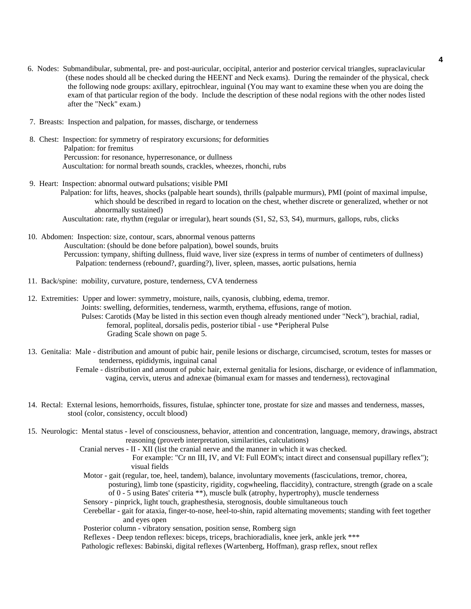- 6. Nodes: Submandibular, submental, pre- and post-auricular, occipital, anterior and posterior cervical triangles, supraclavicular (these nodes should all be checked during the HEENT and Neck exams). During the remainder of the physical, check the following node groups: axillary, epitrochlear, inguinal (You may want to examine these when you are doing the exam of that particular region of the body. Include the description of these nodal regions with the other nodes listed after the "Neck" exam.)
- 7. Breasts: Inspection and palpation, for masses, discharge, or tenderness
- 8. Chest: Inspection: for symmetry of respiratory excursions; for deformities Palpation: for fremitus Percussion: for resonance, hyperresonance, or dullness Auscultation: for normal breath sounds, crackles, wheezes, rhonchi, rubs
- 9. Heart: Inspection: abnormal outward pulsations; visible PMI
	- Palpation: for lifts, heaves, shocks (palpable heart sounds), thrills (palpable murmurs), PMI (point of maximal impulse, which should be described in regard to location on the chest, whether discrete or generalized, whether or not abnormally sustained)
	- Auscultation: rate, rhythm (regular or irregular), heart sounds (S1, S2, S3, S4), murmurs, gallops, rubs, clicks
- 10. Abdomen: Inspection: size, contour, scars, abnormal venous patterns Auscultation: (should be done before palpation), bowel sounds, bruits Percussion: tympany, shifting dullness, fluid wave, liver size (express in terms of number of centimeters of dullness) Palpation: tenderness (rebound?, guarding?), liver, spleen, masses, aortic pulsations, hernia
- 11. Back/spine: mobility, curvature, posture, tenderness, CVA tenderness

12. Extremities: Upper and lower: symmetry, moisture, nails, cyanosis, clubbing, edema, tremor. Joints: swelling, deformities, tenderness, warmth, erythema, effusions, range of motion. Pulses: Carotids (May be listed in this section even though already mentioned under "Neck"), brachial, radial, femoral, popliteal, dorsalis pedis, posterior tibial - use \*Peripheral Pulse Grading Scale shown on page 5.

13. Genitalia: Male - distribution and amount of pubic hair, penile lesions or discharge, circumcised, scrotum, testes for masses or tenderness, epididymis, inguinal canal

 Female - distribution and amount of pubic hair, external genitalia for lesions, discharge, or evidence of inflammation, vagina, cervix, uterus and adnexae (bimanual exam for masses and tenderness), rectovaginal

- 14. Rectal: External lesions, hemorrhoids, fissures, fistulae, sphincter tone, prostate for size and masses and tenderness, masses, stool (color, consistency, occult blood)
- 15. Neurologic: Mental status level of consciousness, behavior, attention and concentration, language, memory, drawings, abstract reasoning (proverb interpretation, similarities, calculations)
	- Cranial nerves II XII (list the cranial nerve and the manner in which it was checked.
		- For example: "Cr nn III, IV, and VI: Full EOM's; intact direct and consensual pupillary reflex"); visual fields
	- Motor gait (regular, toe, heel, tandem), balance, involuntary movements (fasciculations, tremor, chorea,

 posturing), limb tone (spasticity, rigidity, cogwheeling, flaccidity), contracture, strength (grade on a scale of 0 - 5 using Bates' criteria \*\*), muscle bulk (atrophy, hypertrophy), muscle tenderness

- Sensory pinprick, light touch, graphesthesia, sterognosis, double simultaneous touch
- Cerebellar gait for ataxia, finger-to-nose, heel-to-shin, rapid alternating movements; standing with feet together and eyes open

Posterior column - vibratory sensation, position sense, Romberg sign

Reflexes - Deep tendon reflexes: biceps, triceps, brachioradialis, knee jerk, ankle jerk \*\*\*

Pathologic reflexes: Babinski, digital reflexes (Wartenberg, Hoffman), grasp reflex, snout reflex